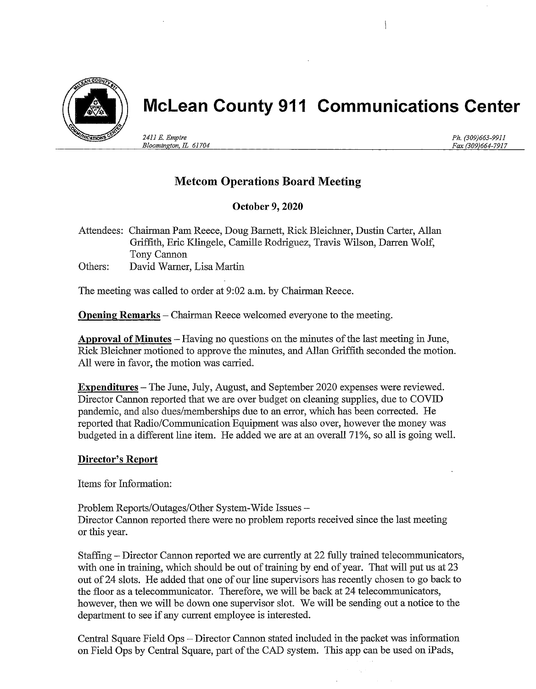

# McLean County 911 Communications Center

241l E. Empire Bloomington, IL 61704

Ph. (309)663-9911 Fax (309)664-7917

## Metcom Operations Board Meeting

### October 9, 2020

Attendees: Chairman Pam Reece, Doug Bamett, RIck Bleichner, Dustin Carter, Allan Griffith, Eric Klingele, Camille Rodriguez, Travis Wilson, Darren Wolf, Tony Cannon Others: David Warner, Lisa Martin

The meeting was called to order at 9:02 a.m. by Chairman Reece.

**Opening Remarks** – Chairman Reece welcomed everyone to the meeting.

Approval of Minutes - Having no questions on the minutes of the last meeting in June, Rick Bleichner motioned to approve the minutes, and Allan Griffith seconded the motion. All were in favor, the motion was carried.

Expenditures – The June, July, August, and September 2020 expenses were reviewed. Director Cannon reported that we are over budget on cleaning supplies, due to COVID pandemic, and also dues/memberships due to an error, which has been corrected. He reported that Radio/Communication Equipment was also over, however the money was budgeted in a different line item. He added we are at an overall 71%, so all is going well.

### Director's Report

Items for Infomation:

Problem Reports/Outages/Other System-Wide Issues - Director Cannon reported there were no problem reports received since the last meeting or this year.

Staffing - Director Cannon reported we are currently at 22 fully trained telecommunicators, with one in training, which should be out of training by end of year. That will put us at 23 out of24 slots. He added that one of our line supervisors has recently chosen to go back to the floor as a telecommunicator. Therefore, we will be back at 24 telecommunicators, however, then we will be down one supervisor slot. We will be sending out a notice to the department to see if any current employee is interested.

Central Square Field Ops - Director Cannon stated included in the packet was information on Field Ops by Central Square, part of the CAD system. This app can be used on iPads,